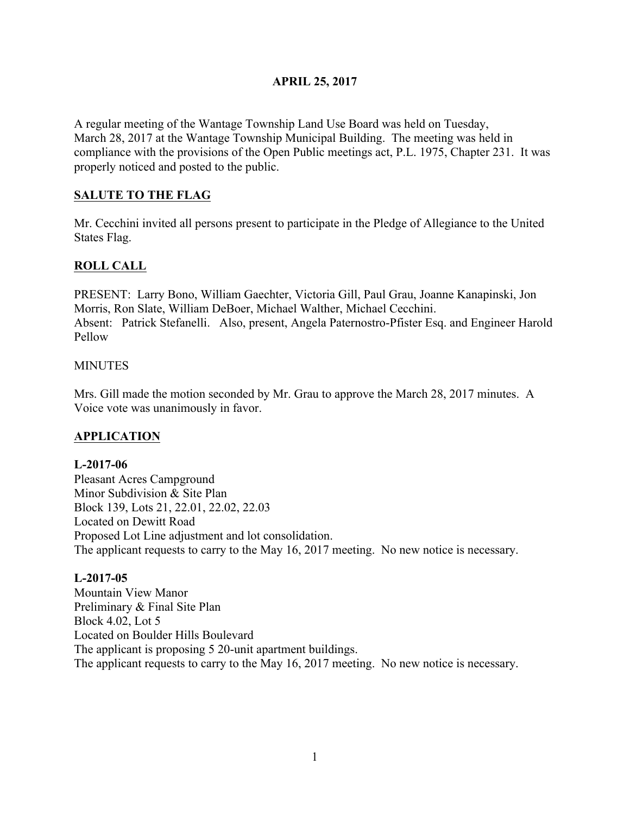## **APRIL 25, 2017**

A regular meeting of the Wantage Township Land Use Board was held on Tuesday, March 28, 2017 at the Wantage Township Municipal Building. The meeting was held in compliance with the provisions of the Open Public meetings act, P.L. 1975, Chapter 231. It was properly noticed and posted to the public.

# **SALUTE TO THE FLAG**

Mr. Cecchini invited all persons present to participate in the Pledge of Allegiance to the United States Flag.

# **ROLL CALL**

PRESENT: Larry Bono, William Gaechter, Victoria Gill, Paul Grau, Joanne Kanapinski, Jon Morris, Ron Slate, William DeBoer, Michael Walther, Michael Cecchini. Absent: Patrick Stefanelli. Also, present, Angela Paternostro-Pfister Esq. and Engineer Harold Pellow

## **MINUTES**

Mrs. Gill made the motion seconded by Mr. Grau to approve the March 28, 2017 minutes. A Voice vote was unanimously in favor.

## **APPLICATION**

## **L-2017-06**

Pleasant Acres Campground Minor Subdivision & Site Plan Block 139, Lots 21, 22.01, 22.02, 22.03 Located on Dewitt Road Proposed Lot Line adjustment and lot consolidation. The applicant requests to carry to the May 16, 2017 meeting. No new notice is necessary.

#### **L-2017-05**

Mountain View Manor Preliminary & Final Site Plan Block 4.02, Lot 5 Located on Boulder Hills Boulevard The applicant is proposing 5 20-unit apartment buildings. The applicant requests to carry to the May 16, 2017 meeting. No new notice is necessary.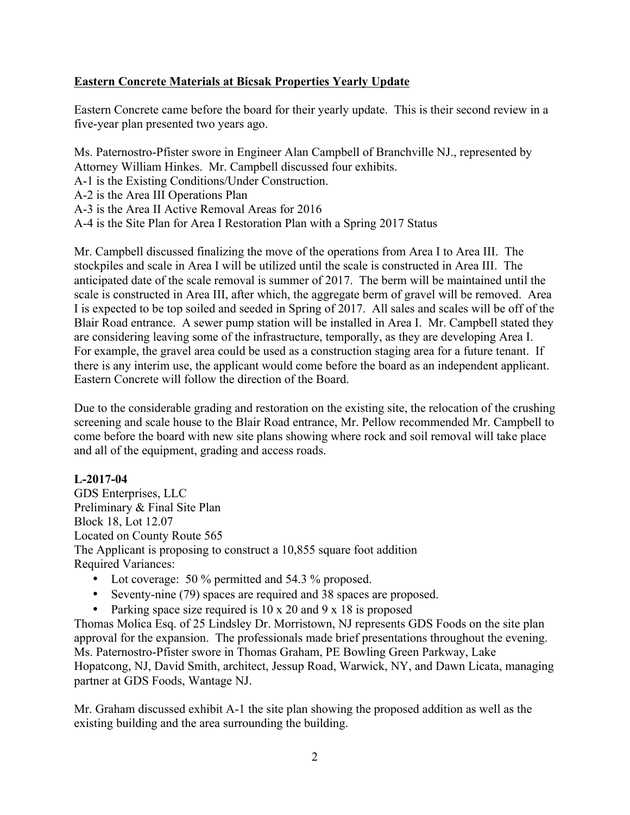## **Eastern Concrete Materials at Bicsak Properties Yearly Update**

Eastern Concrete came before the board for their yearly update. This is their second review in a five-year plan presented two years ago.

Ms. Paternostro-Pfister swore in Engineer Alan Campbell of Branchville NJ., represented by Attorney William Hinkes. Mr. Campbell discussed four exhibits. A-1 is the Existing Conditions/Under Construction. A-2 is the Area III Operations Plan A-3 is the Area II Active Removal Areas for 2016 A-4 is the Site Plan for Area I Restoration Plan with a Spring 2017 Status

Mr. Campbell discussed finalizing the move of the operations from Area I to Area III. The stockpiles and scale in Area I will be utilized until the scale is constructed in Area III. The anticipated date of the scale removal is summer of 2017. The berm will be maintained until the scale is constructed in Area III, after which, the aggregate berm of gravel will be removed. Area I is expected to be top soiled and seeded in Spring of 2017. All sales and scales will be off of the Blair Road entrance. A sewer pump station will be installed in Area I. Mr. Campbell stated they are considering leaving some of the infrastructure, temporally, as they are developing Area I. For example, the gravel area could be used as a construction staging area for a future tenant. If there is any interim use, the applicant would come before the board as an independent applicant. Eastern Concrete will follow the direction of the Board.

Due to the considerable grading and restoration on the existing site, the relocation of the crushing screening and scale house to the Blair Road entrance, Mr. Pellow recommended Mr. Campbell to come before the board with new site plans showing where rock and soil removal will take place and all of the equipment, grading and access roads.

## **L-2017-04**

GDS Enterprises, LLC Preliminary & Final Site Plan Block 18, Lot 12.07 Located on County Route 565 The Applicant is proposing to construct a 10,855 square foot addition Required Variances:

- Lot coverage: 50 % permitted and 54.3 % proposed.
- Seventy-nine (79) spaces are required and 38 spaces are proposed.
- Parking space size required is 10 x 20 and 9 x 18 is proposed

Thomas Molica Esq. of 25 Lindsley Dr. Morristown, NJ represents GDS Foods on the site plan approval for the expansion. The professionals made brief presentations throughout the evening. Ms. Paternostro-Pfister swore in Thomas Graham, PE Bowling Green Parkway, Lake Hopatcong, NJ, David Smith, architect, Jessup Road, Warwick, NY, and Dawn Licata, managing partner at GDS Foods, Wantage NJ.

Mr. Graham discussed exhibit A-1 the site plan showing the proposed addition as well as the existing building and the area surrounding the building.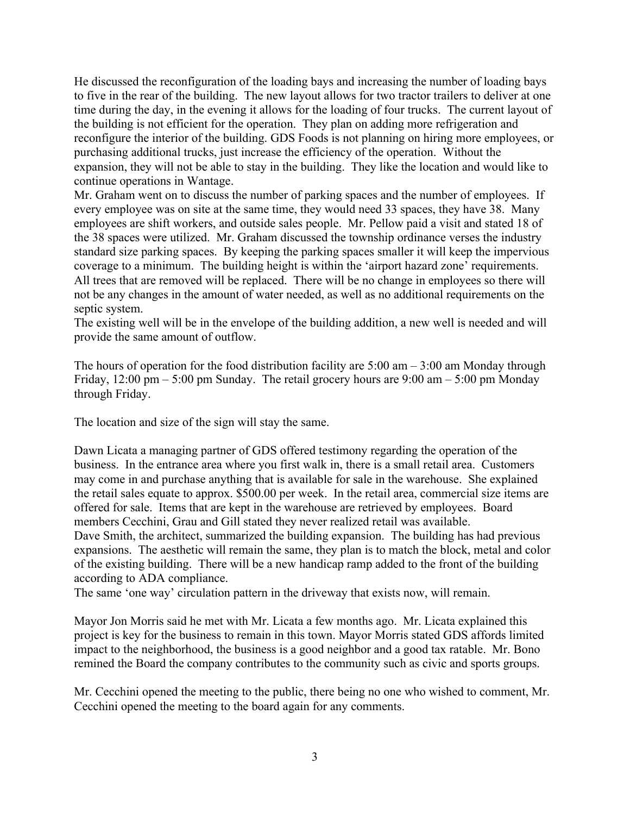He discussed the reconfiguration of the loading bays and increasing the number of loading bays to five in the rear of the building. The new layout allows for two tractor trailers to deliver at one time during the day, in the evening it allows for the loading of four trucks. The current layout of the building is not efficient for the operation. They plan on adding more refrigeration and reconfigure the interior of the building. GDS Foods is not planning on hiring more employees, or purchasing additional trucks, just increase the efficiency of the operation. Without the expansion, they will not be able to stay in the building. They like the location and would like to continue operations in Wantage.

Mr. Graham went on to discuss the number of parking spaces and the number of employees. If every employee was on site at the same time, they would need 33 spaces, they have 38. Many employees are shift workers, and outside sales people. Mr. Pellow paid a visit and stated 18 of the 38 spaces were utilized. Mr. Graham discussed the township ordinance verses the industry standard size parking spaces. By keeping the parking spaces smaller it will keep the impervious coverage to a minimum. The building height is within the 'airport hazard zone' requirements. All trees that are removed will be replaced. There will be no change in employees so there will not be any changes in the amount of water needed, as well as no additional requirements on the septic system.

The existing well will be in the envelope of the building addition, a new well is needed and will provide the same amount of outflow.

The hours of operation for the food distribution facility are  $5:00 \text{ am } -3:00 \text{ am }$  Monday through Friday,  $12:00 \text{ pm} - 5:00 \text{ pm}$  Sunday. The retail grocery hours are  $9:00 \text{ am} - 5:00 \text{ pm}$  Monday through Friday.

The location and size of the sign will stay the same.

Dawn Licata a managing partner of GDS offered testimony regarding the operation of the business. In the entrance area where you first walk in, there is a small retail area. Customers may come in and purchase anything that is available for sale in the warehouse. She explained the retail sales equate to approx. \$500.00 per week. In the retail area, commercial size items are offered for sale. Items that are kept in the warehouse are retrieved by employees. Board members Cecchini, Grau and Gill stated they never realized retail was available. Dave Smith, the architect, summarized the building expansion. The building has had previous

expansions. The aesthetic will remain the same, they plan is to match the block, metal and color of the existing building. There will be a new handicap ramp added to the front of the building according to ADA compliance.

The same 'one way' circulation pattern in the driveway that exists now, will remain.

Mayor Jon Morris said he met with Mr. Licata a few months ago. Mr. Licata explained this project is key for the business to remain in this town. Mayor Morris stated GDS affords limited impact to the neighborhood, the business is a good neighbor and a good tax ratable. Mr. Bono remined the Board the company contributes to the community such as civic and sports groups.

Mr. Cecchini opened the meeting to the public, there being no one who wished to comment, Mr. Cecchini opened the meeting to the board again for any comments.